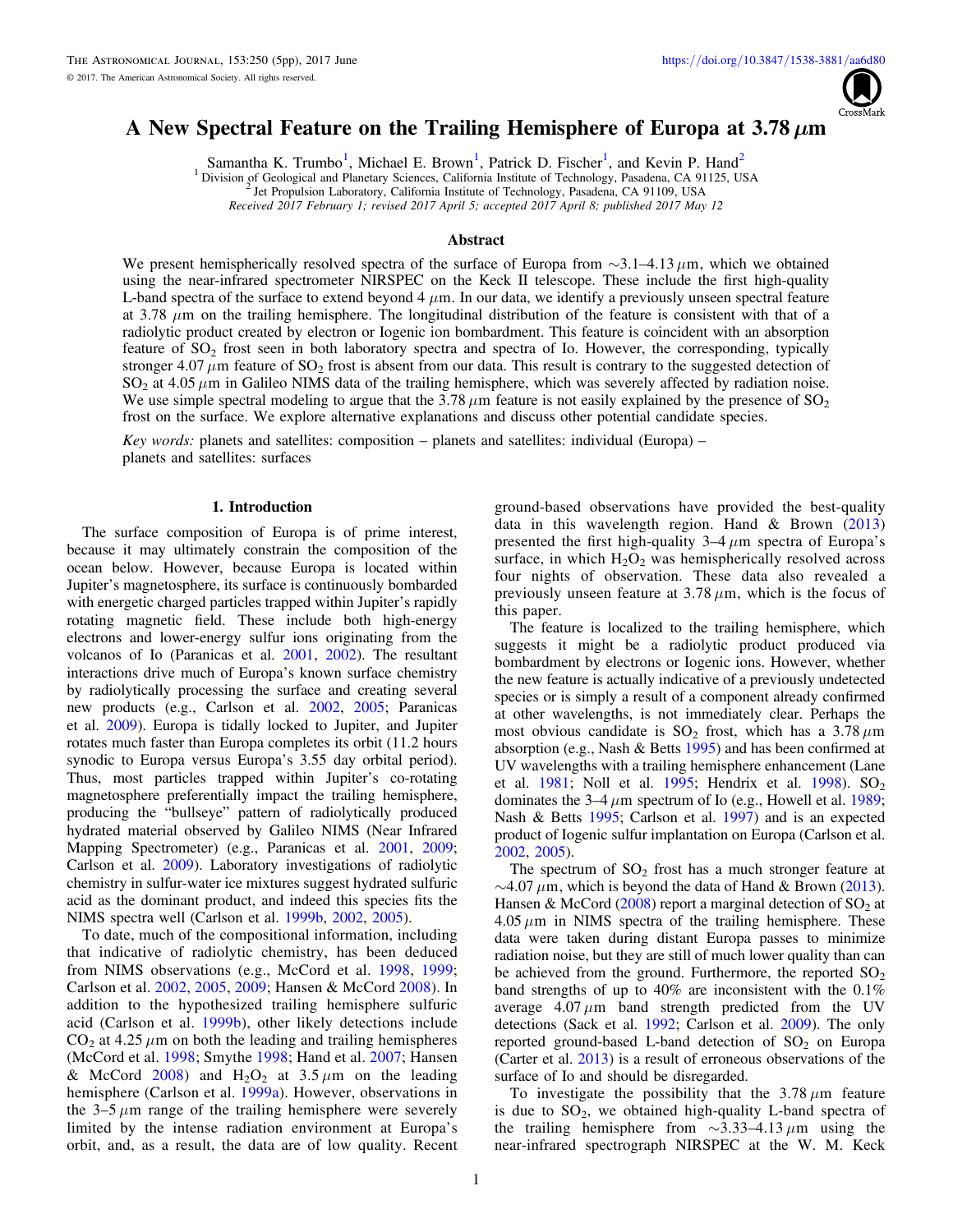

# A New Spectral Feature on the Trailing Hemisphere of Europa at 3.78  $\mu$ m

Samantha K. Trumbo<sup>1</sup>, Michael E. Brown<sup>1</sup>, Patrick D. Fischer<sup>1</sup>, and Kevin P. Hand<sup>2</sup>

<sup>1</sup> Division of Geological and Planetary Sciences, California Institute of Technology, Pasadena, CA 91125, USA  $^{2}$  Jet Propulsion Laboratory, California Institute of Technology, Pasadena, CA 91109, USA

Received 2017 February 1; revised 2017 April 5; accepted 2017 April 8; published 2017 May 12

## Abstract

We present hemispherically resolved spectra of the surface of Europa from ∼3.1–4.13 *m*m, which we obtained using the near-infrared spectrometer NIRSPEC on the Keck II telescope. These include the first high-quality L-band spectra of the surface to extend beyond  $4 \mu m$ . In our data, we identify a previously unseen spectral feature at 3.78  $\mu$ m on the trailing hemisphere. The longitudinal distribution of the feature is consistent with that of a radiolytic product created by electron or Iogenic ion bombardment. This feature is coincident with an absorption feature of SO2 frost seen in both laboratory spectra and spectra of Io. However, the corresponding, typically stronger  $4.07 \mu$ m feature of SO<sub>2</sub> frost is absent from our data. This result is contrary to the suggested detection of  $SO_2$  at 4.05  $\mu$ m in Galileo NIMS data of the trailing hemisphere, which was severely affected by radiation noise. We use simple spectral modeling to argue that the  $3.78 \mu m$  feature is not easily explained by the presence of  $SO_2$ frost on the surface. We explore alternative explanations and discuss other potential candidate species.

Key words: planets and satellites: composition – planets and satellites: individual (Europa) – planets and satellites: surfaces

#### 1. Introduction

The surface composition of Europa is of prime interest, because it may ultimately constrain the composition of the ocean below. However, because Europa is located within Jupiter's magnetosphere, its surface is continuously bombarded with energetic charged particles trapped within Jupiter's rapidly rotating magnetic field. These include both high-energy electrons and lower-energy sulfur ions originating from the volcanos of Io (Paranicas et al. [2001,](#page-4-0) [2002](#page-4-0)). The resultant interactions drive much of Europa's known surface chemistry by radiolytically processing the surface and creating several new products (e.g., Carlson et al. [2002,](#page-4-0) [2005](#page-4-0); Paranicas et al. [2009](#page-4-0)). Europa is tidally locked to Jupiter, and Jupiter rotates much faster than Europa completes its orbit (11.2 hours synodic to Europa versus Europa's 3.55 day orbital period). Thus, most particles trapped within Jupiter's co-rotating magnetosphere preferentially impact the trailing hemisphere, producing the "bullseye" pattern of radiolytically produced hydrated material observed by Galileo NIMS (Near Infrared Mapping Spectrometer) (e.g., Paranicas et al. [2001](#page-4-0), [2009](#page-4-0); Carlson et al. [2009](#page-4-0)). Laboratory investigations of radiolytic chemistry in sulfur-water ice mixtures suggest hydrated sulfuric acid as the dominant product, and indeed this species fits the NIMS spectra well (Carlson et al. [1999b,](#page-4-0) [2002](#page-4-0), [2005](#page-4-0)).

To date, much of the compositional information, including that indicative of radiolytic chemistry, has been deduced from NIMS observations (e.g., McCord et al. [1998,](#page-4-0) [1999](#page-4-0); Carlson et al. [2002](#page-4-0), [2005,](#page-4-0) [2009](#page-4-0); Hansen & McCord [2008](#page-4-0)). In addition to the hypothesized trailing hemisphere sulfuric acid (Carlson et al. [1999b](#page-4-0)), other likely detections include  $CO<sub>2</sub>$  at 4.25  $\mu$ m on both the leading and trailing hemispheres (McCord et al. [1998;](#page-4-0) Smythe [1998](#page-4-0); Hand et al. [2007](#page-4-0); Hansen & McCord  $2008$ ) and H<sub>2</sub>O<sub>2</sub> at 3.5  $\mu$ m on the leading hemisphere (Carlson et al. [1999a](#page-4-0)). However, observations in the  $3-5 \mu m$  range of the trailing hemisphere were severely limited by the intense radiation environment at Europa's orbit, and, as a result, the data are of low quality. Recent

ground-based observations have provided the best-quality data in this wavelength region. Hand  $& Brown (2013)$  $& Brown (2013)$  $& Brown (2013)$ presented the first high-quality  $3-4 \mu m$  spectra of Europa's surface, in which  $H_2O_2$  was hemispherically resolved across four nights of observation. These data also revealed a previously unseen feature at  $3.78 \mu m$ , which is the focus of this paper.

The feature is localized to the trailing hemisphere, which suggests it might be a radiolytic product produced via bombardment by electrons or Iogenic ions. However, whether the new feature is actually indicative of a previously undetected species or is simply a result of a component already confirmed at other wavelengths, is not immediately clear. Perhaps the most obvious candidate is  $SO_2$  frost, which has a 3.78  $\mu$ m absorption (e.g., Nash & Betts [1995](#page-4-0)) and has been confirmed at UV wavelengths with a trailing hemisphere enhancement (Lane et al. [1981](#page-4-0); Noll et al. [1995](#page-4-0); Hendrix et al. [1998](#page-4-0)).  $SO_2$ dominates the  $3-4 \mu m$  spectrum of Io (e.g., Howell et al. [1989](#page-4-0); Nash & Betts [1995](#page-4-0); Carlson et al. [1997](#page-4-0)) and is an expected product of Iogenic sulfur implantation on Europa (Carlson et al. [2002,](#page-4-0) [2005](#page-4-0)).

The spectrum of  $SO<sub>2</sub>$  frost has a much stronger feature at  $\sim$ 4.07  $\mu$ m, which is beyond the data of Hand & Brown ([2013](#page-4-0)). Hansen & McCord  $(2008)$  $(2008)$  $(2008)$  report a marginal detection of SO<sub>2</sub> at  $4.05 \mu m$  in NIMS spectra of the trailing hemisphere. These data were taken during distant Europa passes to minimize radiation noise, but they are still of much lower quality than can be achieved from the ground. Furthermore, the reported  $SO<sub>2</sub>$ band strengths of up to 40% are inconsistent with the 0.1% average  $4.07 \mu m$  band strength predicted from the UV detections (Sack et al. [1992](#page-4-0); Carlson et al. [2009](#page-4-0)). The only reported ground-based L-band detection of  $SO<sub>2</sub>$  on Europa (Carter et al. [2013](#page-4-0)) is a result of erroneous observations of the surface of Io and should be disregarded.

To investigate the possibility that the  $3.78 \mu m$  feature is due to  $SO_2$ , we obtained high-quality L-band spectra of the trailing hemisphere from ∼3.33–4.13  $\mu$ m using the near-infrared spectrograph NIRSPEC at the W. M. Keck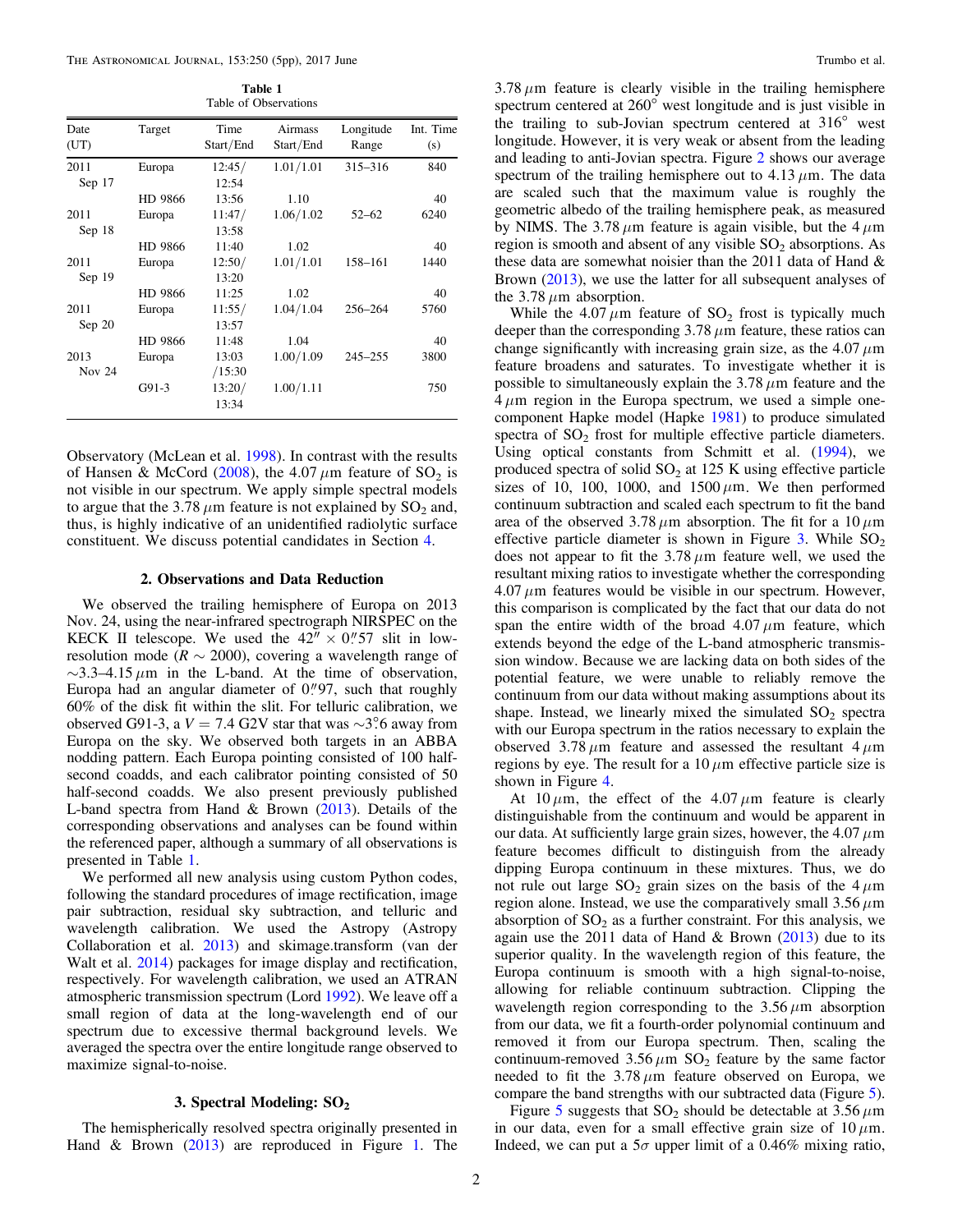Table 1 Table of Observations

| Date<br>(UT) | Target  | Time<br>Start/End | Airmass<br>Start/End | Longitude<br>Range | Int. Time<br>(s) |
|--------------|---------|-------------------|----------------------|--------------------|------------------|
| 2011         | Europa  | 12:45/            | 1.01/1.01            | $315 - 316$        | 840              |
| Sep 17       |         | 12:54             |                      |                    |                  |
|              | HD 9866 | 13:56             | 1.10                 |                    | 40               |
| 2011         | Europa  | 11:47/            | 1.06/1.02            | $52 - 62$          | 6240             |
| Sep 18       |         | 13:58             |                      |                    |                  |
|              | HD 9866 | 11:40             | 1.02                 |                    | 40               |
| 2011         | Europa  | 12:50/            | 1.01/1.01            | 158-161            | 1440             |
| Sep 19       |         | 13:20             |                      |                    |                  |
|              | HD 9866 | 11:25             | 1.02                 |                    | 40               |
| 2011         | Europa  | 11:55/            | 1.04/1.04            | 256-264            | 5760             |
| Sep 20       |         | 13:57             |                      |                    |                  |
|              | HD 9866 | 11:48             | 1.04                 |                    | 40               |
| 2013         | Europa  | 13:03             | 1.00/1.09            | $245 - 255$        | 3800             |
| Nov 24       |         | /15:30            |                      |                    |                  |
|              | $G91-3$ | 13:20/<br>13:34   | 1.00/1.11            |                    | 750              |

Observatory (McLean et al. [1998](#page-4-0)). In contrast with the results of Hansen & McCord ([2008](#page-4-0)), the 4.07  $\mu$ m feature of SO<sub>2</sub> is not visible in our spectrum. We apply simple spectral models to argue that the 3.78  $\mu$ m feature is not explained by SO<sub>2</sub> and, thus, is highly indicative of an unidentified radiolytic surface constituent. We discuss potential candidates in Section [4](#page-3-0).

### 2. Observations and Data Reduction

We observed the trailing hemisphere of Europa on 2013 Nov. 24, using the near-infrared spectrograph NIRSPEC on the KECK II telescope. We used the  $42'' \times 0''$  57 slit in lowresolution mode ( $R \sim 2000$ ), covering a wavelength range of  $\sim$ 3.3–4.15  $\mu$ m in the L-band. At the time of observation, Europa had an angular diameter of  $0''97$ , such that roughly 60% of the disk fit within the slit. For telluric calibration, we observed G91-3, a  $V = 7.4$  G2V star that was ∼3°.6 away from Europa on the sky. We observed both targets in an ABBA nodding pattern. Each Europa pointing consisted of 100 halfsecond coadds, and each calibrator pointing consisted of 50 half-second coadds. We also present previously published L-band spectra from Hand & Brown ([2013](#page-4-0)). Details of the corresponding observations and analyses can be found within the referenced paper, although a summary of all observations is presented in Table 1.

We performed all new analysis using custom Python codes, following the standard procedures of image rectification, image pair subtraction, residual sky subtraction, and telluric and wavelength calibration. We used the Astropy (Astropy Collaboration et al. [2013](#page-4-0)) and skimage.transform (van der Walt et al. [2014](#page-4-0)) packages for image display and rectification, respectively. For wavelength calibration, we used an ATRAN atmospheric transmission spectrum (Lord [1992](#page-4-0)). We leave off a small region of data at the long-wavelength end of our spectrum due to excessive thermal background levels. We averaged the spectra over the entire longitude range observed to maximize signal-to-noise.

## 3. Spectral Modeling: SO<sub>2</sub>

The hemispherically resolved spectra originally presented in Hand & Brown ([2013](#page-4-0)) are reproduced in Figure [1.](#page-2-0) The

 $3.78 \mu m$  feature is clearly visible in the trailing hemisphere spectrum centered at  $260^\circ$  west longitude and is just visible in the trailing to sub-Jovian spectrum centered at  $316^{\circ}$  west longitude. However, it is very weak or absent from the leading and leading to anti-Jovian spectra. Figure [2](#page-2-0) shows our average spectrum of the trailing hemisphere out to  $4.13 \mu m$ . The data are scaled such that the maximum value is roughly the geometric albedo of the trailing hemisphere peak, as measured by NIMS. The 3.78  $\mu$ m feature is again visible, but the 4  $\mu$ m region is smooth and absent of any visible  $SO<sub>2</sub>$  absorptions. As these data are somewhat noisier than the 2011 data of Hand & Brown ([2013](#page-4-0)), we use the latter for all subsequent analyses of the  $3.78 \mu m$  absorption.

While the  $4.07 \mu m$  feature of SO<sub>2</sub> frost is typically much deeper than the corresponding  $3.78 \mu m$  feature, these ratios can change significantly with increasing grain size, as the  $4.07 \mu m$ feature broadens and saturates. To investigate whether it is possible to simultaneously explain the  $3.78 \mu m$  feature and the  $4 \mu m$  region in the Europa spectrum, we used a simple onecomponent Hapke model (Hapke [1981](#page-4-0)) to produce simulated spectra of  $SO<sub>2</sub>$  frost for multiple effective particle diameters. Using optical constants from Schmitt et al. ([1994](#page-4-0)), we produced spectra of solid  $SO<sub>2</sub>$  at 125 K using effective particle sizes of 10, 100, 1000, and  $1500 \mu m$ . We then performed continuum subtraction and scaled each spectrum to fit the band area of the observed 3.78  $\mu$ m absorption. The fit for a 10  $\mu$ m effective particle diameter is shown in Figure  $3$ . While  $SO<sub>2</sub>$ does not appear to fit the  $3.78 \mu m$  feature well, we used the resultant mixing ratios to investigate whether the corresponding  $4.07 \mu m$  features would be visible in our spectrum. However, this comparison is complicated by the fact that our data do not span the entire width of the broad  $4.07 \mu m$  feature, which extends beyond the edge of the L-band atmospheric transmission window. Because we are lacking data on both sides of the potential feature, we were unable to reliably remove the continuum from our data without making assumptions about its shape. Instead, we linearly mixed the simulated  $SO<sub>2</sub>$  spectra with our Europa spectrum in the ratios necessary to explain the observed  $3.78 \mu m$  feature and assessed the resultant  $4 \mu m$ regions by eye. The result for a  $10 \mu m$  effective particle size is shown in Figure [4](#page-3-0).

At  $10 \mu m$ , the effect of the  $4.07 \mu m$  feature is clearly distinguishable from the continuum and would be apparent in our data. At sufficiently large grain sizes, however, the  $4.07 \mu m$ feature becomes difficult to distinguish from the already dipping Europa continuum in these mixtures. Thus, we do not rule out large  $SO_2$  grain sizes on the basis of the  $4 \mu m$ region alone. Instead, we use the comparatively small  $3.56 \mu m$ absorption of  $SO<sub>2</sub>$  as a further constraint. For this analysis, we again use the 2011 data of Hand & Brown  $(2013)$  $(2013)$  $(2013)$  due to its superior quality. In the wavelength region of this feature, the Europa continuum is smooth with a high signal-to-noise, allowing for reliable continuum subtraction. Clipping the wavelength region corresponding to the  $3.56 \mu m$  absorption from our data, we fit a fourth-order polynomial continuum and removed it from our Europa spectrum. Then, scaling the continuum-removed  $3.56 \mu m$  SO<sub>2</sub> feature by the same factor needed to fit the  $3.78 \mu m$  feature observed on Europa, we compare the band strengths with our subtracted data (Figure [5](#page-3-0)).

Figure [5](#page-3-0) suggests that  $SO_2$  should be detectable at  $3.56 \mu m$ in our data, even for a small effective grain size of  $10 \mu m$ . Indeed, we can put a  $5\sigma$  upper limit of a 0.46% mixing ratio,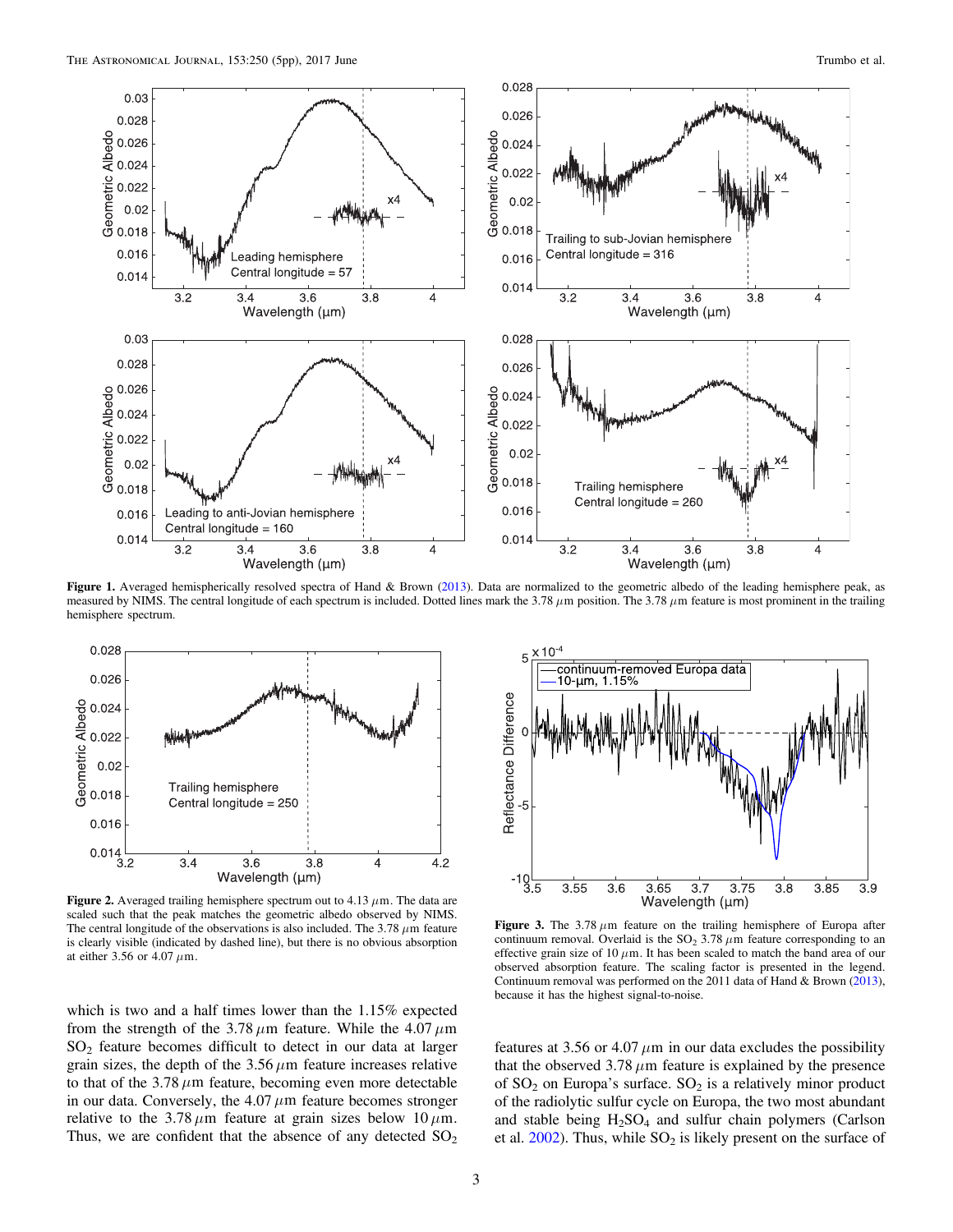<span id="page-2-0"></span>

Figure 1. Averaged hemispherically resolved spectra of Hand & Brown ([2013](#page-4-0)). Data are normalized to the geometric albedo of the leading hemisphere peak, as measured by NIMS. The central longitude of each spectrum is included. Dotted lines mark the 3.78  $\mu$ m position. The 3.78  $\mu$ m feature is most prominent in the trailing hemisphere spectrum.



Figure 2. Averaged trailing hemisphere spectrum out to  $4.13 \mu$ m. The data are scaled such that the peak matches the geometric albedo observed by NIMS. The central longitude of the observations is also included. The  $3.78 \mu m$  feature is clearly visible (indicated by dashed line), but there is no obvious absorption at either 3.56 or 4.07  $\mu$ m.

which is two and a half times lower than the 1.15% expected from the strength of the 3.78  $\mu$ m feature. While the 4.07  $\mu$ m SO2 feature becomes difficult to detect in our data at larger grain sizes, the depth of the  $3.56 \mu m$  feature increases relative to that of the  $3.78 \mu m$  feature, becoming even more detectable in our data. Conversely, the  $4.07 \mu m$  feature becomes stronger relative to the  $3.78 \mu m$  feature at grain sizes below 10  $\mu$ m. Thus, we are confident that the absence of any detected  $SO<sub>2</sub>$ 



Figure 3. The  $3.78 \mu m$  feature on the trailing hemisphere of Europa after continuum removal. Overlaid is the  $SO_2$  3.78  $\mu$ m feature corresponding to an effective grain size of 10  $\mu$ m. It has been scaled to match the band area of our observed absorption feature. The scaling factor is presented in the legend. Continuum removal was performed on the 2011 data of Hand & Brown ([2013](#page-4-0)), because it has the highest signal-to-noise.

features at 3.56 or 4.07  $\mu$ m in our data excludes the possibility that the observed  $3.78 \mu m$  feature is explained by the presence of  $SO_2$  on Europa's surface.  $SO_2$  is a relatively minor product of the radiolytic sulfur cycle on Europa, the two most abundant and stable being  $H_2SO_4$  and sulfur chain polymers (Carlson et al.  $2002$ ). Thus, while  $SO<sub>2</sub>$  is likely present on the surface of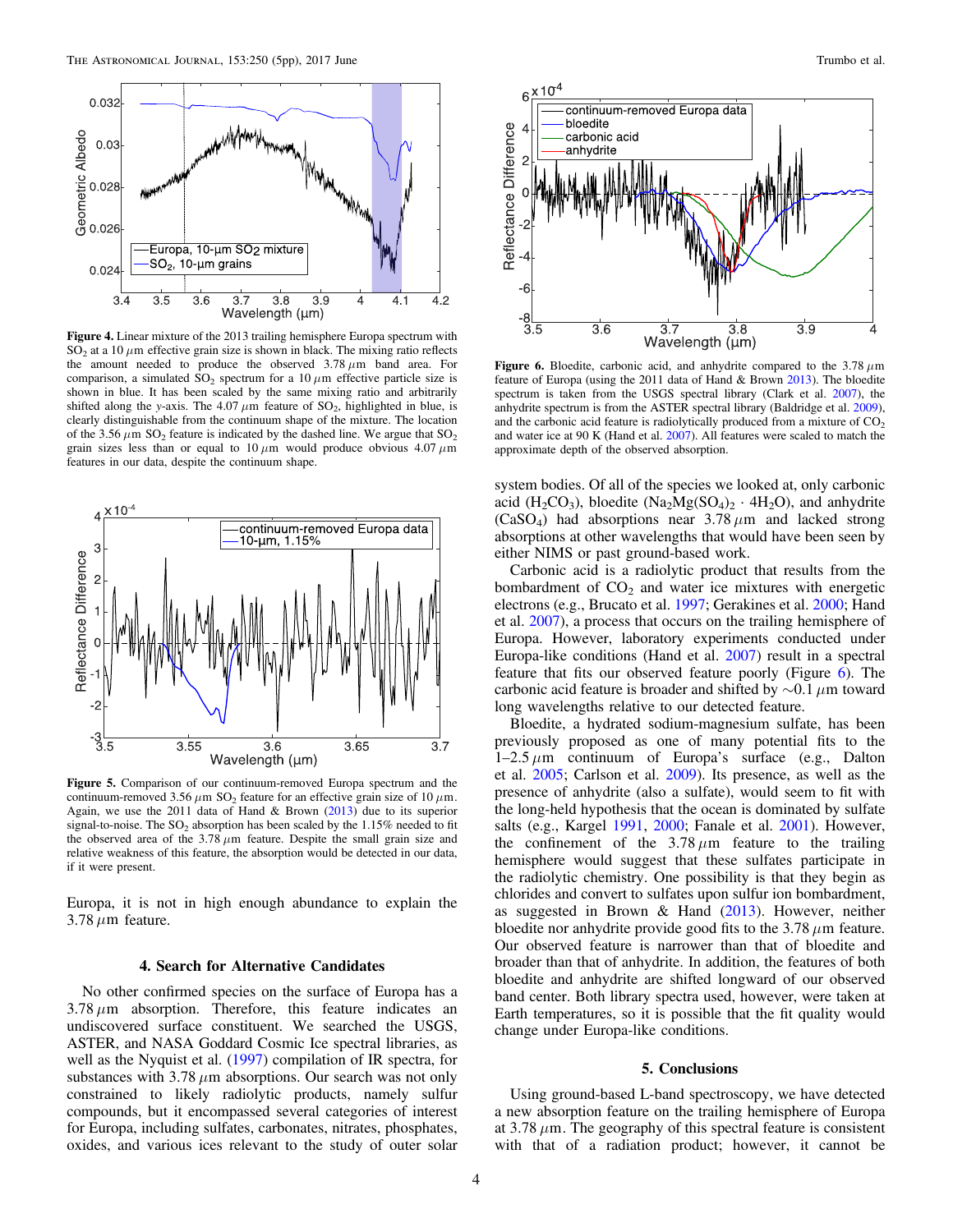<span id="page-3-0"></span>

Figure 4. Linear mixture of the 2013 trailing hemisphere Europa spectrum with  $SO<sub>2</sub>$  at a 10  $\mu$ m effective grain size is shown in black. The mixing ratio reflects the amount needed to produce the observed  $3.78 \mu m$  band area. For comparison, a simulated  $SO_2$  spectrum for a 10  $\mu$ m effective particle size is shown in blue. It has been scaled by the same mixing ratio and arbitrarily shifted along the y-axis. The 4.07  $\mu$ m feature of SO<sub>2</sub>, highlighted in blue, is clearly distinguishable from the continuum shape of the mixture. The location of the 3.56  $\mu$ m SO<sub>2</sub> feature is indicated by the dashed line. We argue that SO<sub>2</sub> grain sizes less than or equal to  $10 \mu m$  would produce obvious  $4.07 \mu m$ features in our data, despite the continuum shape.



Figure 5. Comparison of our continuum-removed Europa spectrum and the continuum-removed 3.56  $\mu$ m SO<sub>2</sub> feature for an effective grain size of 10  $\mu$ m. Again, we use the 2011 data of Hand & Brown  $(2013)$  $(2013)$  $(2013)$  due to its superior signal-to-noise. The  $SO_2$  absorption has been scaled by the 1.15% needed to fit the observed area of the  $3.78 \mu m$  feature. Despite the small grain size and relative weakness of this feature, the absorption would be detected in our data, if it were present.

Europa, it is not in high enough abundance to explain the  $3.78 \mu m$  feature.

#### 4. Search for Alternative Candidates

No other confirmed species on the surface of Europa has a  $3.78 \mu m$  absorption. Therefore, this feature indicates an undiscovered surface constituent. We searched the USGS, ASTER, and NASA Goddard Cosmic Ice spectral libraries, as well as the Nyquist et al. ([1997](#page-4-0)) compilation of IR spectra, for substances with  $3.78 \mu m$  absorptions. Our search was not only constrained to likely radiolytic products, namely sulfur compounds, but it encompassed several categories of interest for Europa, including sulfates, carbonates, nitrates, phosphates, oxides, and various ices relevant to the study of outer solar



Figure 6. Bloedite, carbonic acid, and anhydrite compared to the  $3.78 \mu m$ feature of Europa (using the 2011 data of Hand & Brown [2013](#page-4-0)). The bloedite spectrum is taken from the USGS spectral library (Clark et al. [2007](#page-4-0)), the anhydrite spectrum is from the ASTER spectral library (Baldridge et al. [2009](#page-4-0)), and the carbonic acid feature is radiolytically produced from a mixture of  $CO<sub>2</sub>$ and water ice at 90 K (Hand et al. [2007](#page-4-0)). All features were scaled to match the approximate depth of the observed absorption.

system bodies. Of all of the species we looked at, only carbonic acid (H<sub>2</sub>CO<sub>3</sub>), bloedite (Na<sub>2</sub>Mg(SO<sub>4</sub>)<sub>2</sub> · 4H<sub>2</sub>O), and anhydrite (CaSO<sub>4</sub>) had absorptions near  $3.78 \mu m$  and lacked strong absorptions at other wavelengths that would have been seen by either NIMS or past ground-based work.

Carbonic acid is a radiolytic product that results from the bombardment of  $CO<sub>2</sub>$  and water ice mixtures with energetic electrons (e.g., Brucato et al. [1997](#page-4-0); Gerakines et al. [2000](#page-4-0); Hand et al. [2007](#page-4-0)), a process that occurs on the trailing hemisphere of Europa. However, laboratory experiments conducted under Europa-like conditions (Hand et al. [2007](#page-4-0)) result in a spectral feature that fits our observed feature poorly (Figure 6). The carbonic acid feature is broader and shifted by ∼0.1 *m*m toward long wavelengths relative to our detected feature.

Bloedite, a hydrated sodium-magnesium sulfate, has been previously proposed as one of many potential fits to the  $1-2.5 \mu m$  continuum of Europa's surface (e.g., Dalton et al. [2005](#page-4-0); Carlson et al. [2009](#page-4-0)). Its presence, as well as the presence of anhydrite (also a sulfate), would seem to fit with the long-held hypothesis that the ocean is dominated by sulfate salts (e.g., Kargel [1991,](#page-4-0) [2000;](#page-4-0) Fanale et al. [2001](#page-4-0)). However, the confinement of the  $3.78 \mu m$  feature to the trailing hemisphere would suggest that these sulfates participate in the radiolytic chemistry. One possibility is that they begin as chlorides and convert to sulfates upon sulfur ion bombardment, as suggested in Brown & Hand ([2013](#page-4-0)). However, neither bloedite nor anhydrite provide good fits to the  $3.78 \mu m$  feature. Our observed feature is narrower than that of bloedite and broader than that of anhydrite. In addition, the features of both bloedite and anhydrite are shifted longward of our observed band center. Both library spectra used, however, were taken at Earth temperatures, so it is possible that the fit quality would change under Europa-like conditions.

## 5. Conclusions

Using ground-based L-band spectroscopy, we have detected a new absorption feature on the trailing hemisphere of Europa at  $3.78 \mu$ m. The geography of this spectral feature is consistent with that of a radiation product; however, it cannot be